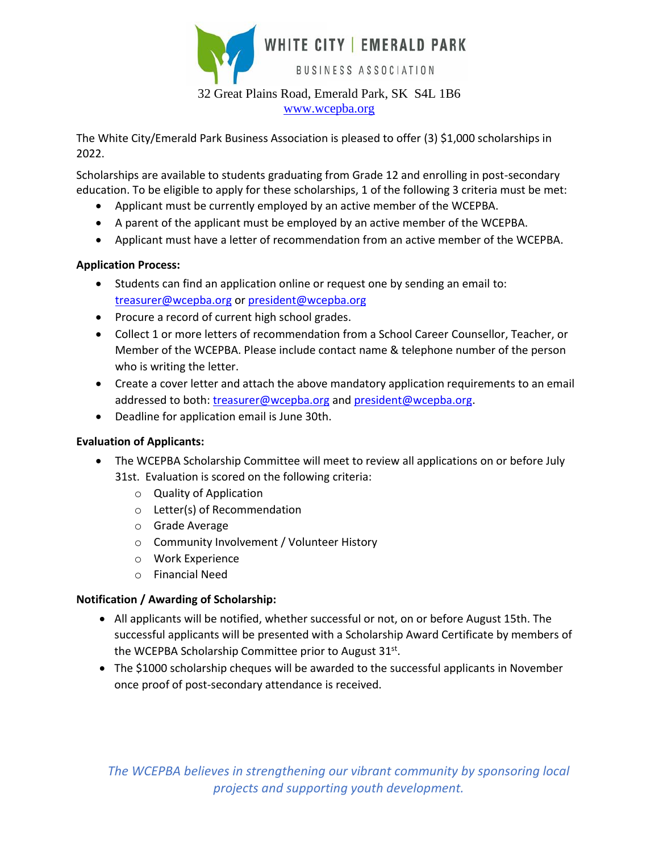

[www.wcepba.org](http://www.wcepba.org/)

The White City/Emerald Park Business Association is pleased to offer (3) \$1,000 scholarships in 2022.

Scholarships are available to students graduating from Grade 12 and enrolling in post-secondary education. To be eligible to apply for these scholarships, 1 of the following 3 criteria must be met:

- Applicant must be currently employed by an active member of the WCEPBA.
- A parent of the applicant must be employed by an active member of the WCEPBA.
- Applicant must have a letter of recommendation from an active member of the WCEPBA.

## **Application Process:**

- Students can find an application online or request one by sending an email to: [treasurer@wcepba.org](mailto:treasurer@wcepba.org) or [president@wcepba.org](mailto:president@wcepba.org)
- Procure a record of current high school grades.
- Collect 1 or more letters of recommendation from a School Career Counsellor, Teacher, or Member of the WCEPBA. Please include contact name & telephone number of the person who is writing the letter.
- Create a cover letter and attach the above mandatory application requirements to an email addressed to both: [treasurer@wcepba.org](mailto:treasurer@wcepba.org) and [president@wcepba.org.](mailto:president@wcepba.org)
- Deadline for application email is June 30th.

## **Evaluation of Applicants:**

- The WCEPBA Scholarship Committee will meet to review all applications on or before July 31st. Evaluation is scored on the following criteria:
	- o Quality of Application
	- o Letter(s) of Recommendation
	- o Grade Average
	- o Community Involvement / Volunteer History
	- o Work Experience
	- o Financial Need

## **Notification / Awarding of Scholarship:**

- All applicants will be notified, whether successful or not, on or before August 15th. The successful applicants will be presented with a Scholarship Award Certificate by members of the WCEPBA Scholarship Committee prior to August 31st.
- The \$1000 scholarship cheques will be awarded to the successful applicants in November once proof of post-secondary attendance is received.

*The WCEPBA believes in strengthening our vibrant community by sponsoring local projects and supporting youth development.*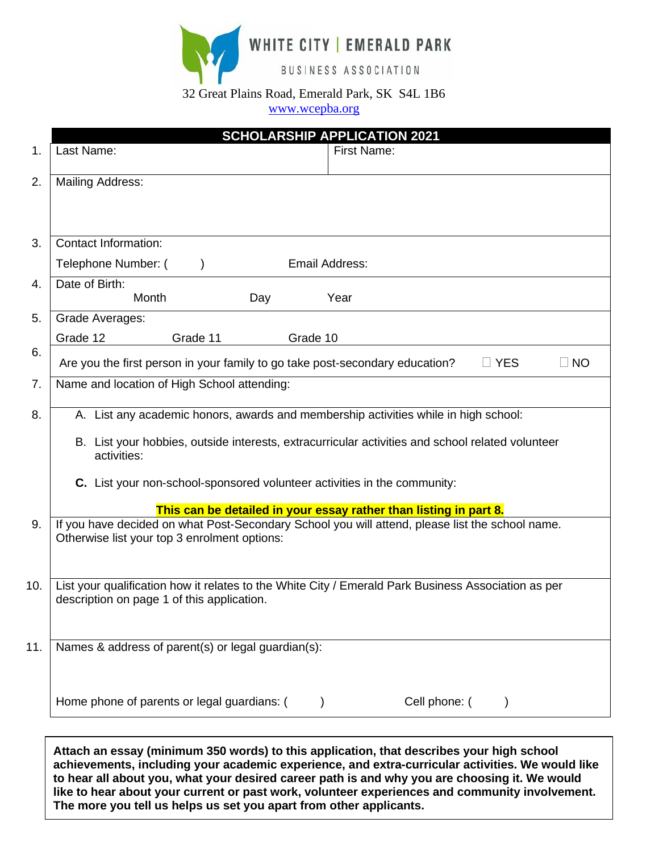WHITE CITY | EMERALD PARK

BUSINESS ASSOCIATION

## 32 Great Plains Road, Emerald Park, SK S4L 1B6

[www.wcepba.org](http://www.wcepba.org/)

|     | <b>SCHOLARSHIP APPLICATION 2021</b>                                                                                                               |
|-----|---------------------------------------------------------------------------------------------------------------------------------------------------|
| 1.  | Last Name:<br><b>First Name:</b>                                                                                                                  |
| 2.  | <b>Mailing Address:</b>                                                                                                                           |
|     |                                                                                                                                                   |
| 3.  | <b>Contact Information:</b>                                                                                                                       |
|     | Telephone Number: (<br>Email Address:<br>$\mathcal{E}$                                                                                            |
| 4.  | Date of Birth:<br>Month<br>Year<br>Day                                                                                                            |
| 5.  | Grade Averages:                                                                                                                                   |
|     | Grade 12<br>Grade 11<br>Grade 10                                                                                                                  |
| 6.  | Are you the first person in your family to go take post-secondary education?<br>$\Box$ YES<br>$\square$ NO                                        |
| 7.  | Name and location of High School attending:                                                                                                       |
| 8.  | A. List any academic honors, awards and membership activities while in high school:                                                               |
|     | B. List your hobbies, outside interests, extracurricular activities and school related volunteer<br>activities:                                   |
|     | C. List your non-school-sponsored volunteer activities in the community:                                                                          |
|     | This can be detailed in your essay rather than listing in part 8.                                                                                 |
| 9.  | If you have decided on what Post-Secondary School you will attend, please list the school name.<br>Otherwise list your top 3 enrolment options:   |
|     |                                                                                                                                                   |
| 10. | List your qualification how it relates to the White City / Emerald Park Business Association as per<br>description on page 1 of this application. |
| 11. | Names & address of parent(s) or legal guardian(s):                                                                                                |
|     | Cell phone: (<br>Home phone of parents or legal guardians: (                                                                                      |

**Attach an essay (minimum 350 words) to this application, that describes your high school achievements, including your academic experience, and extra-curricular activities. We would like to hear all about you, what your desired career path is and why you are choosing it. We would like to hear about your current or past work, volunteer experiences and community involvement. The more you tell us helps us set you apart from other applicants.**